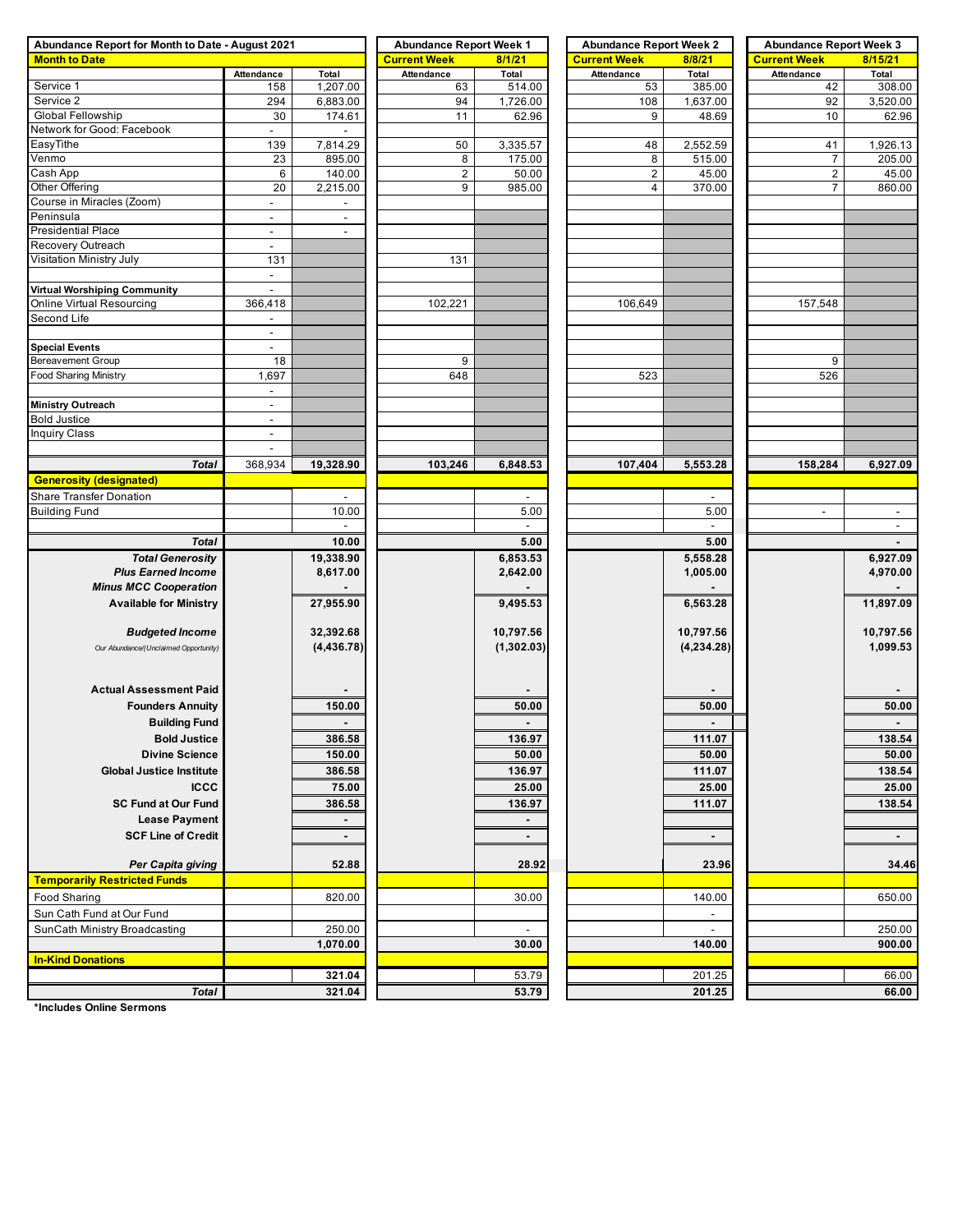| Abundance Report for Month to Date - August 2021 | <b>Abundance Report Week 1</b> |                          | <b>Abundance Report Week 2</b> |                | <b>Abundance Report Week 3</b> |                          |                          |                |  |
|--------------------------------------------------|--------------------------------|--------------------------|--------------------------------|----------------|--------------------------------|--------------------------|--------------------------|----------------|--|
| <b>Month to Date</b>                             |                                |                          | <b>Current Week</b>            | 8/1/21         | <b>Current Week</b>            | 8/8/21                   | <b>Current Week</b>      | 8/15/21        |  |
|                                                  | <b>Attendance</b>              | Total                    | <b>Attendance</b>              | Total          | Attendance                     | Total                    | Attendance               | Total          |  |
| Service 1                                        | 158                            | 1,207.00                 | 63                             | 514.00         | 53                             | 385.00                   | 42                       | 308.00         |  |
| Service 2                                        | 294                            | 6,883.00                 | 94                             | 1,726.00       | 108                            | 1,637.00                 | 92                       | 3,520.00       |  |
| Global Fellowship                                | 30                             | 174.61                   | 11                             | 62.96          | 9                              | 48.69                    | 10                       | 62.96          |  |
| Network for Good: Facebook                       | $\sim$                         |                          |                                |                |                                |                          |                          |                |  |
| EasyTithe                                        | 139                            | 7,814.29                 | 50                             | 3,335.57       | 48                             | 2,552.59                 | 41                       | 1,926.13       |  |
| Venmo                                            | 23                             | 895.00                   | 8                              | 175.00         | 8                              | 515.00                   | 7                        | 205.00         |  |
| Cash App                                         | 6                              | 140.00                   | $\boldsymbol{2}$               | 50.00          | $\overline{c}$                 | 45.00                    | $\boldsymbol{2}$         | 45.00          |  |
| Other Offering                                   | 20                             | 2,215.00                 | 9                              | 985.00         | 4                              | 370.00                   | $\overline{7}$           | 860.00         |  |
| Course in Miracles (Zoom)                        | $\sim$                         |                          |                                |                |                                |                          |                          |                |  |
| Peninsula                                        | $\blacksquare$                 | $\overline{\phantom{a}}$ |                                |                |                                |                          |                          |                |  |
| <b>Presidential Place</b>                        | $\blacksquare$                 | $\blacksquare$           |                                |                |                                |                          |                          |                |  |
| Recovery Outreach                                | $\mathbb{Z}^2$                 |                          |                                |                |                                |                          |                          |                |  |
| Visitation Ministry July                         | 131                            |                          | 131                            |                |                                |                          |                          |                |  |
|                                                  | $\blacksquare$                 |                          |                                |                |                                |                          |                          |                |  |
| Virtual Worshiping Community                     | $\overline{\phantom{a}}$       |                          |                                |                |                                |                          |                          |                |  |
| Online Virtual Resourcing                        | 366,418                        |                          | 102,221                        |                | 106,649                        |                          | 157,548                  |                |  |
| Second Life                                      | $\blacksquare$                 |                          |                                |                |                                |                          |                          |                |  |
|                                                  |                                |                          |                                |                |                                |                          |                          |                |  |
| <b>Special Events</b><br>Bereavement Group       | $\overline{\phantom{a}}$<br>18 |                          | 9                              |                |                                |                          | 9                        |                |  |
| <b>Food Sharing Ministry</b>                     | 1,697                          |                          | 648                            |                | 523                            |                          | 526                      |                |  |
|                                                  | $\blacksquare$                 |                          |                                |                |                                |                          |                          |                |  |
|                                                  | $\blacksquare$                 |                          |                                |                |                                |                          |                          |                |  |
| Ministry Outreach<br><b>Bold Justice</b>         | $\blacksquare$                 |                          |                                |                |                                |                          |                          |                |  |
| <b>Inquiry Class</b>                             | $\sim$                         |                          |                                |                |                                |                          |                          |                |  |
|                                                  | $\overline{\phantom{a}}$       |                          |                                |                |                                |                          |                          |                |  |
|                                                  |                                |                          |                                |                |                                |                          |                          |                |  |
| <b>Total</b>                                     | 368,934                        | 19,328.90                | 103,246                        | 6,848.53       | 107,404                        | 5,553.28                 | 158,284                  | 6,927.09       |  |
| <b>Generosity (designated)</b>                   |                                |                          |                                |                |                                |                          |                          |                |  |
| <b>Share Transfer Donation</b>                   |                                |                          |                                |                |                                |                          |                          |                |  |
| <b>Building Fund</b>                             |                                | 10.00                    |                                | 5.00           |                                | 5.00                     | $\overline{\phantom{a}}$ | $\sim$         |  |
|                                                  |                                | $\overline{\phantom{a}}$ |                                | $\sim$         |                                | $\sim$                   |                          | $\sim$         |  |
| <b>Total</b>                                     |                                | 10.00                    |                                | 5.00           |                                | 5.00                     |                          |                |  |
| <b>Total Generosity</b>                          |                                | 19,338.90                |                                | 6,853.53       |                                | 5,558.28                 |                          | 6,927.09       |  |
| <b>Plus Earned Income</b>                        |                                | 8,617.00                 |                                | 2,642.00       |                                | 1,005.00                 |                          | 4,970.00       |  |
| <b>Minus MCC Cooperation</b>                     |                                |                          |                                |                |                                |                          |                          |                |  |
| <b>Available for Ministry</b>                    |                                | 27,955.90                |                                | 9,495.53       |                                | 6,563.28                 |                          | 11,897.09      |  |
|                                                  |                                |                          |                                |                |                                |                          |                          |                |  |
| <b>Budgeted Income</b>                           |                                | 32,392.68                |                                | 10,797.56      |                                | 10,797.56                |                          | 10,797.56      |  |
| Our Abundance/(Unclaimed Opportunity)            |                                | (4, 436.78)              |                                | (1,302.03)     |                                | (4,234.28)               |                          | 1,099.53       |  |
|                                                  |                                |                          |                                |                |                                |                          |                          |                |  |
|                                                  |                                |                          |                                |                |                                |                          |                          |                |  |
| <b>Actual Assessment Paid</b>                    |                                |                          |                                |                |                                |                          |                          |                |  |
| <b>Founders Annuity</b>                          |                                | 150.00                   |                                | 50.00          |                                | 50.00                    |                          | 50.00          |  |
| <b>Building Fund</b>                             |                                | $\blacksquare$           |                                |                |                                |                          |                          | $\blacksquare$ |  |
| <b>Bold Justice</b>                              |                                | 386.58                   |                                | 136.97         |                                | 111.07                   |                          | 138.54         |  |
| <b>Divine Science</b>                            |                                | 150.00                   |                                | 50.00          |                                | 50.00                    |                          | 50.00          |  |
| <b>Global Justice Institute</b>                  |                                | 386.58                   |                                | 136.97         |                                | 111.07                   |                          | 138.54         |  |
| <b>ICCC</b>                                      |                                | 75.00                    |                                | 25.00          |                                | 25.00                    |                          | 25.00          |  |
| <b>SC Fund at Our Fund</b>                       |                                | 386.58                   |                                | 136.97         |                                | 111.07                   |                          | 138.54         |  |
| <b>Lease Payment</b>                             |                                |                          |                                |                |                                |                          |                          |                |  |
|                                                  |                                | $\blacksquare$           |                                | $\blacksquare$ |                                |                          |                          |                |  |
| <b>SCF Line of Credit</b>                        |                                | $\blacksquare$           |                                |                |                                | $\overline{\phantom{a}}$ |                          | $\blacksquare$ |  |
|                                                  |                                |                          |                                |                |                                |                          |                          |                |  |
| Per Capita giving                                |                                | 52.88                    |                                | 28.92          |                                | 23.96                    |                          | 34.46          |  |
| <b>Temporarily Restricted Funds</b>              |                                |                          |                                |                |                                |                          |                          |                |  |
| Food Sharing                                     |                                | 820.00                   |                                | 30.00          |                                | 140.00                   |                          | 650.00         |  |
| Sun Cath Fund at Our Fund                        |                                |                          |                                |                |                                | $\overline{\phantom{a}}$ |                          |                |  |
| SunCath Ministry Broadcasting                    |                                | 250.00                   |                                |                |                                |                          |                          | 250.00         |  |
|                                                  |                                | 1,070.00                 |                                | 30.00          |                                | 140.00                   |                          | 900.00         |  |
| <b>In-Kind Donations</b>                         |                                |                          |                                |                |                                |                          |                          |                |  |
|                                                  |                                | 321.04                   |                                | 53.79          |                                | 201.25                   |                          | 66.00          |  |
| <b>Total</b>                                     |                                | 321.04                   |                                | 53.79          |                                | 201.25                   |                          | 66.00          |  |

**\*Includes Online Sermons**